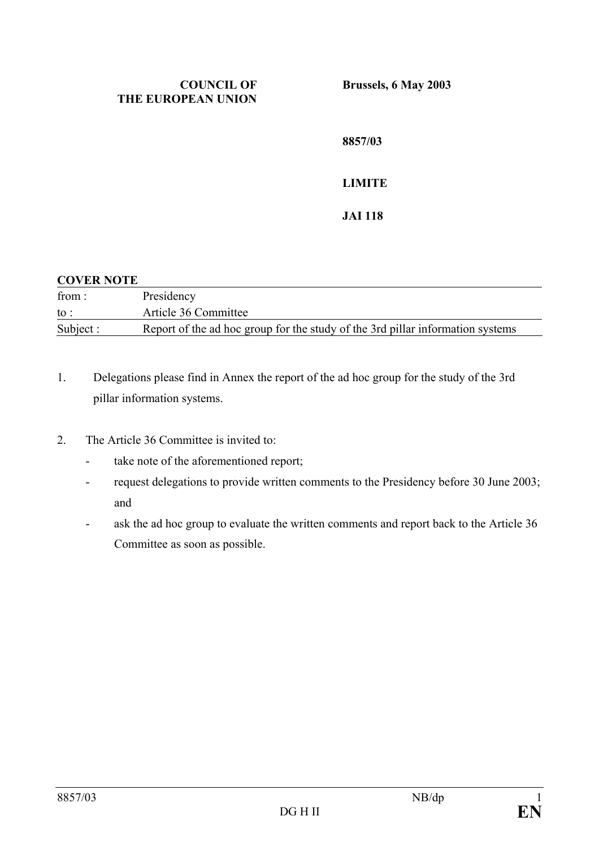#### **COUNCIL OF THE EUROPEAN UNION**

**Brussels, 6 May 2003** 

**8857/03 LIMITE JAI 118** 

#### **COVER NOTE**

| from:     | Presidency                                                                     |
|-----------|--------------------------------------------------------------------------------|
| to :      | Article 36 Committee                                                           |
| Subject : | Report of the ad hoc group for the study of the 3rd pillar information systems |

- 1. Delegations please find in Annex the report of the ad hoc group for the study of the 3rd pillar information systems.
- 2. The Article 36 Committee is invited to:
	- take note of the aforementioned report;
	- request delegations to provide written comments to the Presidency before 30 June 2003; and
	- ask the ad hoc group to evaluate the written comments and report back to the Article 36 Committee as soon as possible.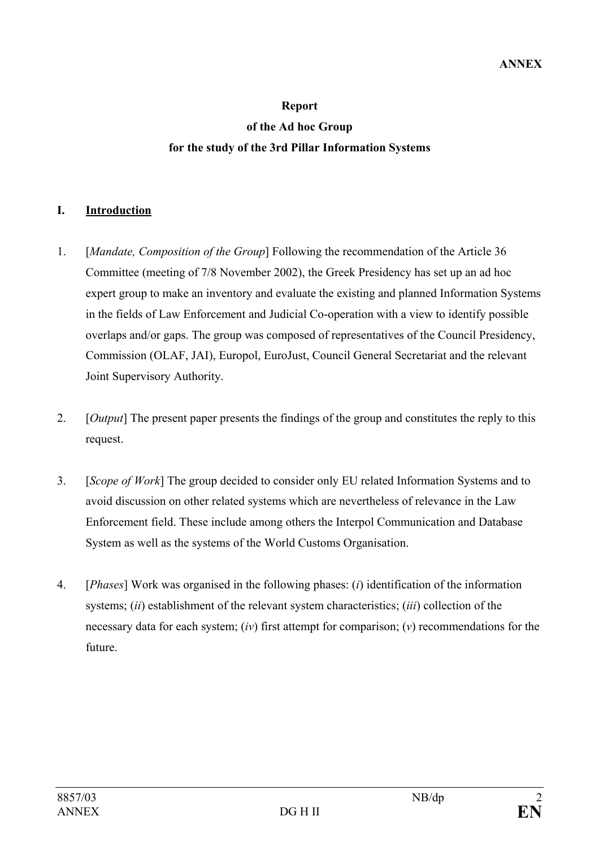# **Report of the Ad hoc Group for the study of the 3rd Pillar Information Systems**

## **I. Introduction**

- 1. [*Mandate, Composition of the Group*] Following the recommendation of the Article 36 Committee (meeting of 7/8 November 2002), the Greek Presidency has set up an ad hoc expert group to make an inventory and evaluate the existing and planned Information Systems in the fields of Law Enforcement and Judicial Co-operation with a view to identify possible overlaps and/or gaps. The group was composed of representatives of the Council Presidency, Commission (OLAF, JAI), Europol, EuroJust, Council General Secretariat and the relevant Joint Supervisory Authority.
- 2. [*Output*] The present paper presents the findings of the group and constitutes the reply to this request.
- 3. [*Scope of Work*] The group decided to consider only EU related Information Systems and to avoid discussion on other related systems which are nevertheless of relevance in the Law Enforcement field. These include among others the Interpol Communication and Database System as well as the systems of the World Customs Organisation.
- 4. [*Phases*] Work was organised in the following phases: (*i*) identification of the information systems; (*ii*) establishment of the relevant system characteristics; (*iii*) collection of the necessary data for each system; (*iv*) first attempt for comparison; (*v*) recommendations for the future.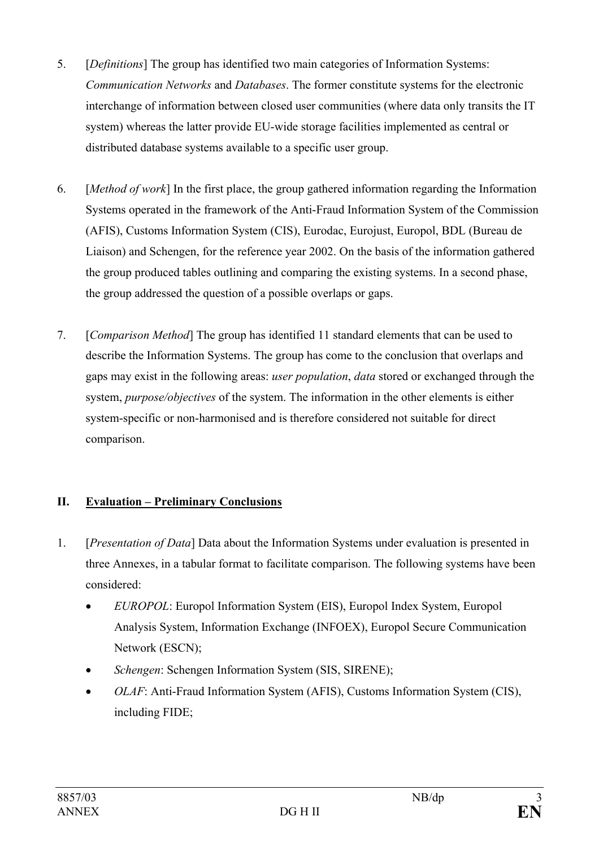- 5. [*Definitions*] The group has identified two main categories of Information Systems: *Communication Networks* and *Databases*. The former constitute systems for the electronic interchange of information between closed user communities (where data only transits the IT system) whereas the latter provide EU-wide storage facilities implemented as central or distributed database systems available to a specific user group.
- 6. [*Method of work*] In the first place, the group gathered information regarding the Information Systems operated in the framework of the Anti-Fraud Information System of the Commission (AFIS), Customs Information System (CIS), Eurodac, Eurojust, Europol, BDL (Bureau de Liaison) and Schengen, for the reference year 2002. On the basis of the information gathered the group produced tables outlining and comparing the existing systems. In a second phase, the group addressed the question of a possible overlaps or gaps.
- 7. [*Comparison Method*] The group has identified 11 standard elements that can be used to describe the Information Systems. The group has come to the conclusion that overlaps and gaps may exist in the following areas: *user population*, *data* stored or exchanged through the system, *purpose/objectives* of the system. The information in the other elements is either system-specific or non-harmonised and is therefore considered not suitable for direct comparison.

# **II. Evaluation – Preliminary Conclusions**

- 1. [*Presentation of Data*] Data about the Information Systems under evaluation is presented in three Annexes, in a tabular format to facilitate comparison. The following systems have been considered:
	- *EUROPOL*: Europol Information System (EIS), Europol Index System, Europol Analysis System, Information Exchange (INFOEX), Europol Secure Communication Network (ESCN);
	- *Schengen*: Schengen Information System (SIS, SIRENE);
	- *OLAF*: Anti-Fraud Information System (AFIS), Customs Information System (CIS), including FIDE;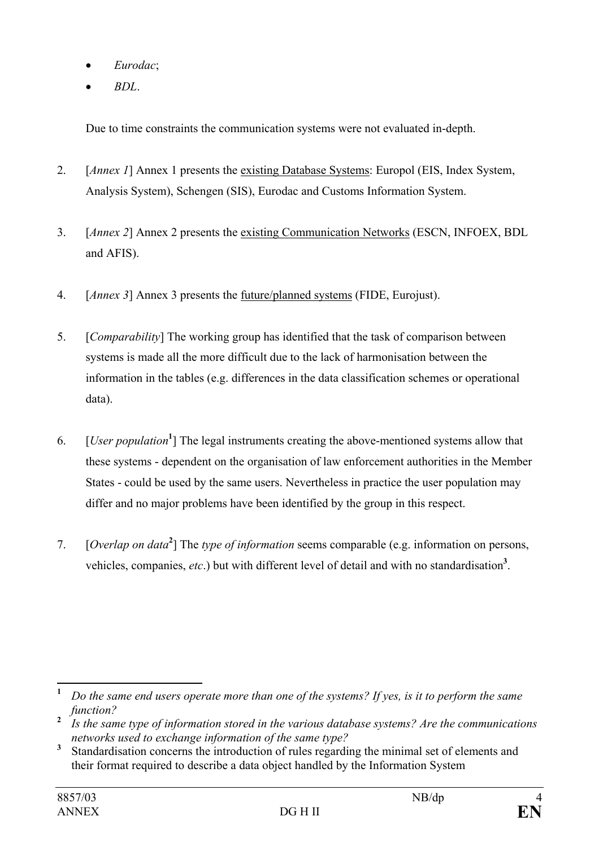- *Eurodac*;
- *BDL*.

Due to time constraints the communication systems were not evaluated in-depth.

- 2. [*Annex 1*] Annex 1 presents the existing Database Systems: Europol (EIS, Index System, Analysis System), Schengen (SIS), Eurodac and Customs Information System.
- 3. [*Annex 2*] Annex 2 presents the existing Communication Networks (ESCN, INFOEX, BDL and AFIS).
- 4. [*Annex 3*] Annex 3 presents the future/planned systems (FIDE, Eurojust).
- 5. [*Comparability*] The working group has identified that the task of comparison between systems is made all the more difficult due to the lack of harmonisation between the information in the tables (e.g. differences in the data classification schemes or operational data).
- 6. [*User population***<sup>1</sup>** ] The legal instruments creating the above-mentioned systems allow that these systems - dependent on the organisation of law enforcement authorities in the Member States - could be used by the same users. Nevertheless in practice the user population may differ and no major problems have been identified by the group in this respect.
- 7. [*Overlap on data***<sup>2</sup>** ] The *type of information* seems comparable (e.g. information on persons, vehicles, companies, *etc*.) but with different level of detail and with no standardisation**<sup>3</sup>** .

 **1**  *Do the same end users operate more than one of the systems? If yes, is it to perform the same function?*

**<sup>2</sup>**  *Is the same type of information stored in the various database systems? Are the communications networks used to exchange information of the same type?*

**<sup>3</sup>** Standardisation concerns the introduction of rules regarding the minimal set of elements and their format required to describe a data object handled by the Information System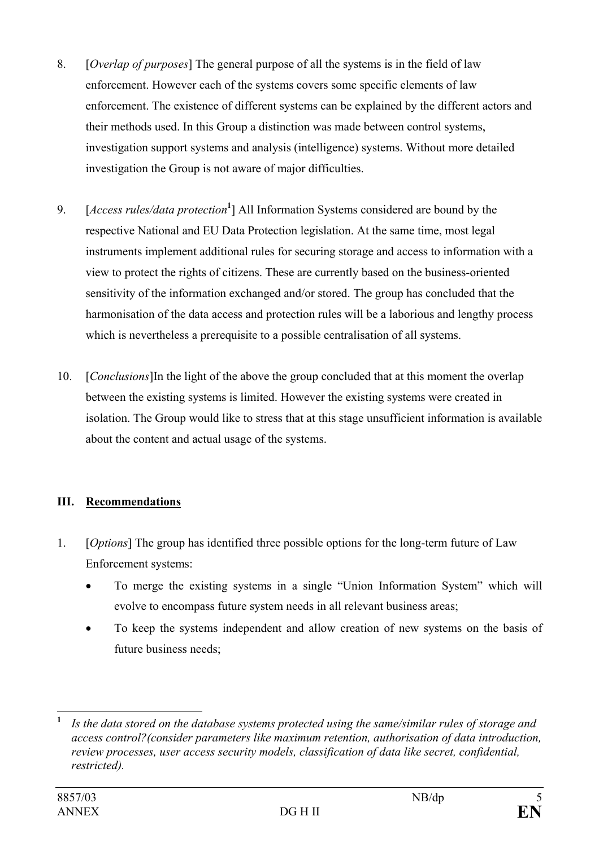- 8. [*Overlap of purposes*] The general purpose of all the systems is in the field of law enforcement. However each of the systems covers some specific elements of law enforcement. The existence of different systems can be explained by the different actors and their methods used. In this Group a distinction was made between control systems, investigation support systems and analysis (intelligence) systems. Without more detailed investigation the Group is not aware of major difficulties.
- 9. [*Access rules/data protection***<sup>1</sup>** ] All Information Systems considered are bound by the respective National and EU Data Protection legislation. At the same time, most legal instruments implement additional rules for securing storage and access to information with a view to protect the rights of citizens. These are currently based on the business-oriented sensitivity of the information exchanged and/or stored. The group has concluded that the harmonisation of the data access and protection rules will be a laborious and lengthy process which is nevertheless a prerequisite to a possible centralisation of all systems.
- 10. [*Conclusions*]In the light of the above the group concluded that at this moment the overlap between the existing systems is limited. However the existing systems were created in isolation. The Group would like to stress that at this stage unsufficient information is available about the content and actual usage of the systems.

# **III. Recommendations**

- 1. [*Options*] The group has identified three possible options for the long-term future of Law Enforcement systems:
	- To merge the existing systems in a single "Union Information System" which will evolve to encompass future system needs in all relevant business areas;
	- To keep the systems independent and allow creation of new systems on the basis of future business needs;

 $\overline{a}$ **<sup>1</sup>** *Is the data stored on the database systems protected using the same/similar rules of storage and access control?(consider parameters like maximum retention, authorisation of data introduction, review processes, user access security models, classification of data like secret, confidential, restricted).*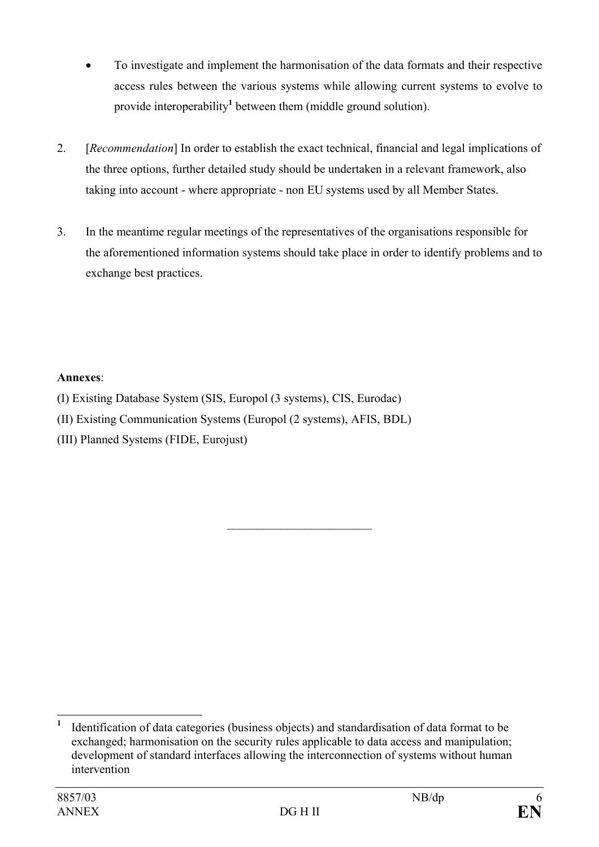- To investigate and implement the harmonisation of the data formats and their respective access rules between the various systems while allowing current systems to evolve to provide interoperability**<sup>1</sup>** between them (middle ground solution).
- 2. [*Recommendation*] In order to establish the exact technical, financial and legal implications of the three options, further detailed study should be undertaken in a relevant framework, also taking into account - where appropriate - non EU systems used by all Member States.
- 3. In the meantime regular meetings of the representatives of the organisations responsible for the aforementioned information systems should take place in order to identify problems and to exchange best practices.

 $\mathcal{L}_\text{max}$ 

## **Annexes**:

- (I) Existing Database System (SIS, Europol (3 systems), CIS, Eurodac)
- (II) Existing Communication Systems (Europol (2 systems), AFIS, BDL)
- (III) Planned Systems (FIDE, Eurojust)

 $\overline{a}$ **1** Identification of data categories (business objects) and standardisation of data format to be exchanged; harmonisation on the security rules applicable to data access and manipulation; development of standard interfaces allowing the interconnection of systems without human intervention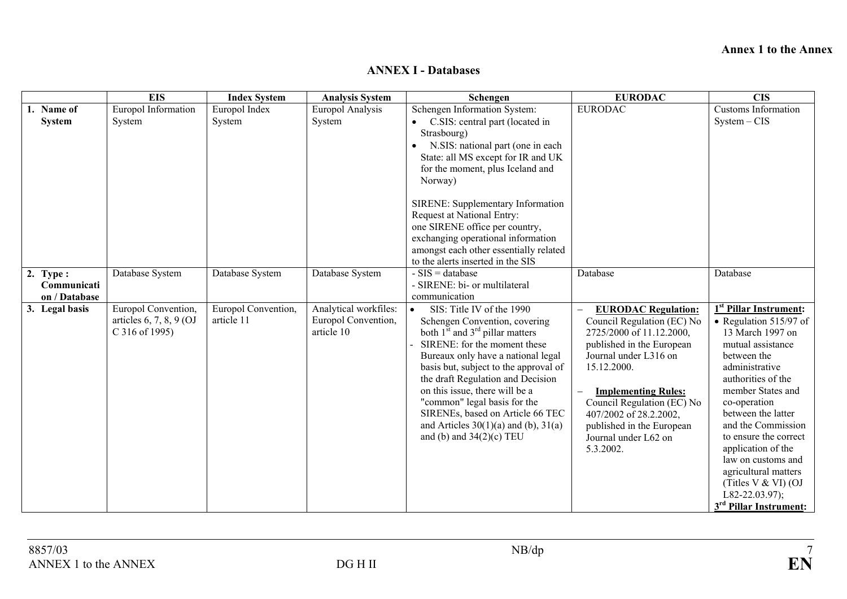#### **Annex 1 to the Annex**

|                | <b>EIS</b>                | <b>Index System</b> | <b>Analysis System</b> | Schengen                                                                    | <b>EURODAC</b>                                     | <b>CIS</b>                         |
|----------------|---------------------------|---------------------|------------------------|-----------------------------------------------------------------------------|----------------------------------------------------|------------------------------------|
| 1. Name of     | Europol Information       | Europol Index       | Europol Analysis       | Schengen Information System:                                                | <b>EURODAC</b>                                     | Customs Information                |
| <b>System</b>  | System                    | System              | System                 | • C.SIS: central part (located in                                           |                                                    | $System - CIS$                     |
|                |                           |                     |                        | Strasbourg)                                                                 |                                                    |                                    |
|                |                           |                     |                        | N.SIS: national part (one in each                                           |                                                    |                                    |
|                |                           |                     |                        | State: all MS except for IR and UK                                          |                                                    |                                    |
|                |                           |                     |                        | for the moment, plus Iceland and                                            |                                                    |                                    |
|                |                           |                     |                        | Norway)                                                                     |                                                    |                                    |
|                |                           |                     |                        | SIRENE: Supplementary Information                                           |                                                    |                                    |
|                |                           |                     |                        | Request at National Entry:                                                  |                                                    |                                    |
|                |                           |                     |                        | one SIRENE office per country,                                              |                                                    |                                    |
|                |                           |                     |                        | exchanging operational information                                          |                                                    |                                    |
|                |                           |                     |                        | amongst each other essentially related                                      |                                                    |                                    |
|                |                           |                     |                        | to the alerts inserted in the SIS                                           |                                                    |                                    |
| 2. Type:       | Database System           | Database System     | Database System        | $-SIS = database$                                                           | Database                                           | Database                           |
| Communicati    |                           |                     |                        | - SIRENE: bi- or multilateral                                               |                                                    |                                    |
| on / Database  |                           |                     |                        | communication                                                               |                                                    |                                    |
| 3. Legal basis | Europol Convention,       | Europol Convention, | Analytical workfiles:  | SIS: Title IV of the 1990<br>$\bullet$                                      | <b>EURODAC Regulation:</b>                         | 1 <sup>st</sup> Pillar Instrument: |
|                | articles $6, 7, 8, 9$ (OJ | article 11          | Europol Convention,    | Schengen Convention, covering                                               | Council Regulation (EC) No                         | • Regulation $515/97$ of           |
|                | C 316 of 1995)            |                     | article 10             | both $1^{\overline{5}t}$ and $3^{\text{rd}}$ pillar matters                 | 2725/2000 of 11.12.2000,                           | 13 March 1997 on                   |
|                |                           |                     |                        | SIRENE: for the moment these                                                | published in the European<br>Journal under L316 on | mutual assistance                  |
|                |                           |                     |                        | Bureaux only have a national legal<br>basis but, subject to the approval of | 15.12.2000.                                        | between the<br>administrative      |
|                |                           |                     |                        | the draft Regulation and Decision                                           |                                                    | authorities of the                 |
|                |                           |                     |                        | on this issue, there will be a                                              | <b>Implementing Rules:</b>                         | member States and                  |
|                |                           |                     |                        | "common" legal basis for the                                                | Council Regulation (EC) No                         | co-operation                       |
|                |                           |                     |                        | SIRENEs, based on Article 66 TEC                                            | 407/2002 of 28.2.2002,                             | between the latter                 |
|                |                           |                     |                        | and Articles $30(1)(a)$ and (b), $31(a)$                                    | published in the European                          | and the Commission                 |
|                |                           |                     |                        | and (b) and $34(2)$ (c) TEU                                                 | Journal under L62 on                               | to ensure the correct              |
|                |                           |                     |                        |                                                                             | 5.3.2002.                                          | application of the                 |
|                |                           |                     |                        |                                                                             |                                                    | law on customs and                 |
|                |                           |                     |                        |                                                                             |                                                    | agricultural matters               |
|                |                           |                     |                        |                                                                             |                                                    | (Titles $V & W$ I) (OJ             |
|                |                           |                     |                        |                                                                             |                                                    | L82-22.03.97);                     |
|                |                           |                     |                        |                                                                             |                                                    | 3 <sup>rd</sup> Pillar Instrument: |

#### **ANNEX I - Databases**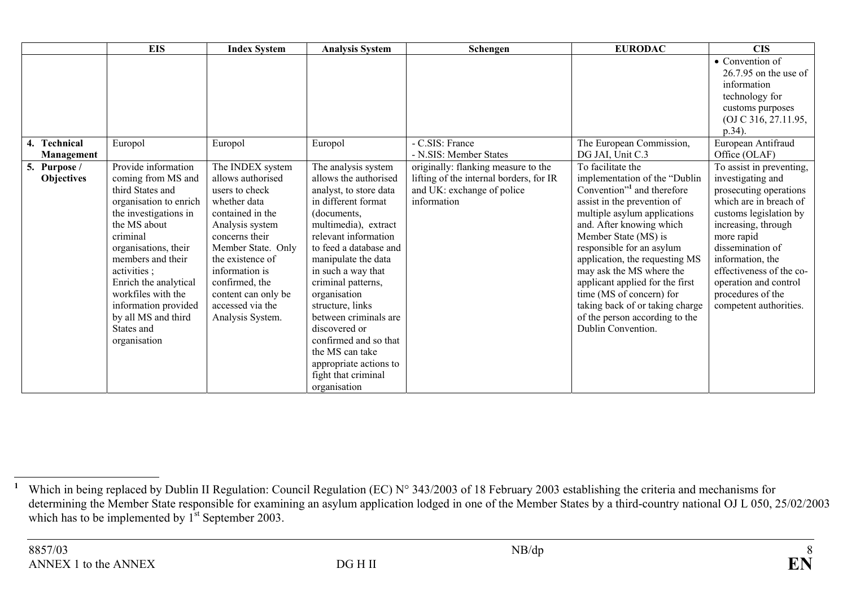|                                   | <b>EIS</b>                                                                                                                                                                                                                                                                                                                           | <b>Index System</b>                                                                                                                                                                                                                                                           | <b>Analysis System</b>                                                                                                                                                                                                                                                                                                                                                                                                                               | Schengen                                                                                                                    | <b>EURODAC</b>                                                                                                                                                                                                                                                                                                                                                                                                                                                       | <b>CIS</b>                                                                                                                                                                                                                                                                                                   |
|-----------------------------------|--------------------------------------------------------------------------------------------------------------------------------------------------------------------------------------------------------------------------------------------------------------------------------------------------------------------------------------|-------------------------------------------------------------------------------------------------------------------------------------------------------------------------------------------------------------------------------------------------------------------------------|------------------------------------------------------------------------------------------------------------------------------------------------------------------------------------------------------------------------------------------------------------------------------------------------------------------------------------------------------------------------------------------------------------------------------------------------------|-----------------------------------------------------------------------------------------------------------------------------|----------------------------------------------------------------------------------------------------------------------------------------------------------------------------------------------------------------------------------------------------------------------------------------------------------------------------------------------------------------------------------------------------------------------------------------------------------------------|--------------------------------------------------------------------------------------------------------------------------------------------------------------------------------------------------------------------------------------------------------------------------------------------------------------|
|                                   |                                                                                                                                                                                                                                                                                                                                      |                                                                                                                                                                                                                                                                               |                                                                                                                                                                                                                                                                                                                                                                                                                                                      |                                                                                                                             |                                                                                                                                                                                                                                                                                                                                                                                                                                                                      | • Convention of<br>$26.7.95$ on the use of<br>information<br>technology for<br>customs purposes<br>(OJ C 316, 27.11.95,<br>p.34).                                                                                                                                                                            |
| 4. Technical<br>Management        | Europol                                                                                                                                                                                                                                                                                                                              | Europol                                                                                                                                                                                                                                                                       | Europol                                                                                                                                                                                                                                                                                                                                                                                                                                              | - C.SIS: France<br>- N.SIS: Member States                                                                                   | The European Commission,<br>DG JAI, Unit C.3                                                                                                                                                                                                                                                                                                                                                                                                                         | European Antifraud<br>Office (OLAF)                                                                                                                                                                                                                                                                          |
| 5. Purpose /<br><b>Objectives</b> | Provide information<br>coming from MS and<br>third States and<br>organisation to enrich<br>the investigations in<br>the MS about<br>criminal<br>organisations, their<br>members and their<br>activities;<br>Enrich the analytical<br>workfiles with the<br>information provided<br>by all MS and third<br>States and<br>organisation | The INDEX system<br>allows authorised<br>users to check<br>whether data<br>contained in the<br>Analysis system<br>concerns their<br>Member State. Only<br>the existence of<br>information is<br>confirmed, the<br>content can only be<br>accessed via the<br>Analysis System. | The analysis system<br>allows the authorised<br>analyst, to store data<br>in different format<br>(documents,<br>multimedia), extract<br>relevant information<br>to feed a database and<br>manipulate the data<br>in such a way that<br>criminal patterns,<br>organisation<br>structure, links<br>between criminals are<br>discovered or<br>confirmed and so that<br>the MS can take<br>appropriate actions to<br>fight that criminal<br>organisation | originally: flanking measure to the<br>lifting of the internal borders, for IR<br>and UK: exchange of police<br>information | To facilitate the<br>implementation of the "Dublin<br>Convention" <sup>1</sup> and therefore<br>assist in the prevention of<br>multiple asylum applications<br>and. After knowing which<br>Member State (MS) is<br>responsible for an asylum<br>application, the requesting MS<br>may ask the MS where the<br>applicant applied for the first<br>time (MS of concern) for<br>taking back of or taking charge<br>of the person according to the<br>Dublin Convention. | To assist in preventing,<br>investigating and<br>prosecuting operations<br>which are in breach of<br>customs legislation by<br>increasing, through<br>more rapid<br>dissemination of<br>information, the<br>effectiveness of the co-<br>operation and control<br>procedures of the<br>competent authorities. |

<sup>&</sup>lt;sup>1</sup> Which in being replaced by Dublin II Regulation: Council Regulation (EC) N° 343/2003 of 18 February 2003 establishing the criteria and mechanisms for determining the Member State responsible for examining an asylum application lodged in one of the Member States by a third-country national OJ L 050, 25/02/2003 which has to be implemented by  $1<sup>st</sup>$  September 2003.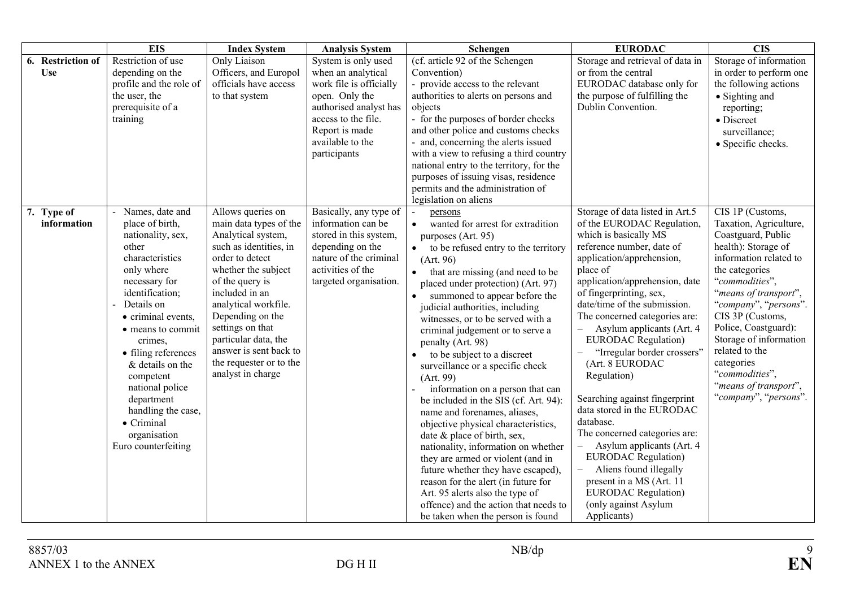|                                 | <b>EIS</b>                                                                                                                                                                                                                                                                                                                                                                              | <b>Index System</b>                                                                                                                                                                                                                                                                                                                          | <b>Analysis System</b>                                                                                                                                                                        | Schengen                                                                                                                                                                                                                                                                                                                                                                                                                                                                                                                                                                                                                                                                                                                                                                                                                                                                                                                                                                               | <b>EURODAC</b>                                                                                                                                                                                                                                                                                                                                                                                                                                                                                                                                                                                                                                                                                                                                         | $\overline{\text{CIS}}$                                                                                                                                                                                                                                                                                                                                                           |
|---------------------------------|-----------------------------------------------------------------------------------------------------------------------------------------------------------------------------------------------------------------------------------------------------------------------------------------------------------------------------------------------------------------------------------------|----------------------------------------------------------------------------------------------------------------------------------------------------------------------------------------------------------------------------------------------------------------------------------------------------------------------------------------------|-----------------------------------------------------------------------------------------------------------------------------------------------------------------------------------------------|----------------------------------------------------------------------------------------------------------------------------------------------------------------------------------------------------------------------------------------------------------------------------------------------------------------------------------------------------------------------------------------------------------------------------------------------------------------------------------------------------------------------------------------------------------------------------------------------------------------------------------------------------------------------------------------------------------------------------------------------------------------------------------------------------------------------------------------------------------------------------------------------------------------------------------------------------------------------------------------|--------------------------------------------------------------------------------------------------------------------------------------------------------------------------------------------------------------------------------------------------------------------------------------------------------------------------------------------------------------------------------------------------------------------------------------------------------------------------------------------------------------------------------------------------------------------------------------------------------------------------------------------------------------------------------------------------------------------------------------------------------|-----------------------------------------------------------------------------------------------------------------------------------------------------------------------------------------------------------------------------------------------------------------------------------------------------------------------------------------------------------------------------------|
| 6. Restriction of<br><b>Use</b> | Restriction of use<br>depending on the<br>profile and the role of<br>the user, the<br>prerequisite of a<br>training                                                                                                                                                                                                                                                                     | Only Liaison<br>Officers, and Europol<br>officials have access<br>to that system                                                                                                                                                                                                                                                             | System is only used<br>when an analytical<br>work file is officially<br>open. Only the<br>authorised analyst has<br>access to the file.<br>Report is made<br>available to the<br>participants | (cf. article 92 of the Schengen<br>Convention)<br>- provide access to the relevant<br>authorities to alerts on persons and<br>objects<br>- for the purposes of border checks<br>and other police and customs checks<br>- and, concerning the alerts issued<br>with a view to refusing a third country<br>national entry to the territory, for the<br>purposes of issuing visas, residence<br>permits and the administration of<br>legislation on aliens                                                                                                                                                                                                                                                                                                                                                                                                                                                                                                                                | Storage and retrieval of data in<br>or from the central<br>EURODAC database only for<br>the purpose of fulfilling the<br>Dublin Convention.                                                                                                                                                                                                                                                                                                                                                                                                                                                                                                                                                                                                            | Storage of information<br>in order to perform one<br>the following actions<br>• Sighting and<br>reporting;<br>• Discreet<br>surveillance;<br>• Specific checks.                                                                                                                                                                                                                   |
| 7. Type of<br>information       | - Names, date and<br>place of birth,<br>nationality, sex,<br>other<br>characteristics<br>only where<br>necessary for<br>identification;<br>Details on<br>• criminal events,<br>• means to commit<br>crimes,<br>• filing references<br>& details on the<br>competent<br>national police<br>department<br>handling the case,<br>$\bullet$ Criminal<br>organisation<br>Euro counterfeiting | Allows queries on<br>main data types of the<br>Analytical system,<br>such as identities, in<br>order to detect<br>whether the subject<br>of the query is<br>included in an<br>analytical workfile.<br>Depending on the<br>settings on that<br>particular data, the<br>answer is sent back to<br>the requester or to the<br>analyst in charge | Basically, any type of<br>information can be<br>stored in this system,<br>depending on the<br>nature of the criminal<br>activities of the<br>targeted organisation.                           | $\blacksquare$<br>persons<br>wanted for arrest for extradition<br>purposes (Art. 95)<br>to be refused entry to the territory<br>$\bullet$<br>(Art. 96)<br>that are missing (and need to be<br>$\bullet$<br>placed under protection) (Art. 97)<br>summoned to appear before the<br>$\bullet$<br>judicial authorities, including<br>witnesses, or to be served with a<br>criminal judgement or to serve a<br>penalty (Art. 98)<br>to be subject to a discreet<br>$\bullet$<br>surveillance or a specific check<br>(Art. 99)<br>information on a person that can<br>be included in the SIS (cf. Art. 94):<br>name and forenames, aliases,<br>objective physical characteristics,<br>date & place of birth, sex,<br>nationality, information on whether<br>they are armed or violent (and in<br>future whether they have escaped),<br>reason for the alert (in future for<br>Art. 95 alerts also the type of<br>offence) and the action that needs to<br>be taken when the person is found | Storage of data listed in Art.5<br>of the EURODAC Regulation,<br>which is basically MS<br>reference number, date of<br>application/apprehension,<br>place of<br>application/apprehension, date<br>of fingerprinting, sex,<br>date/time of the submission.<br>The concerned categories are:<br>Asylum applicants (Art. 4<br>$\overline{\phantom{0}}$<br><b>EURODAC</b> Regulation)<br>"Irregular border crossers"<br>(Art. 8 EURODAC<br>Regulation)<br>Searching against fingerprint<br>data stored in the EURODAC<br>database.<br>The concerned categories are:<br>Asylum applicants (Art. 4)<br><b>EURODAC</b> Regulation)<br>Aliens found illegally<br>present in a MS (Art. 11<br><b>EURODAC</b> Regulation)<br>(only against Asylum<br>Applicants) | CIS 1P (Customs,<br>Taxation, Agriculture,<br>Coastguard, Public<br>health): Storage of<br>information related to<br>the categories<br>"commodities",<br>"means of transport",<br>"company", "persons".<br>CIS 3P (Customs,<br>Police, Coastguard):<br>Storage of information<br>related to the<br>categories<br>"commodities",<br>"means of transport",<br>"company", "persons". |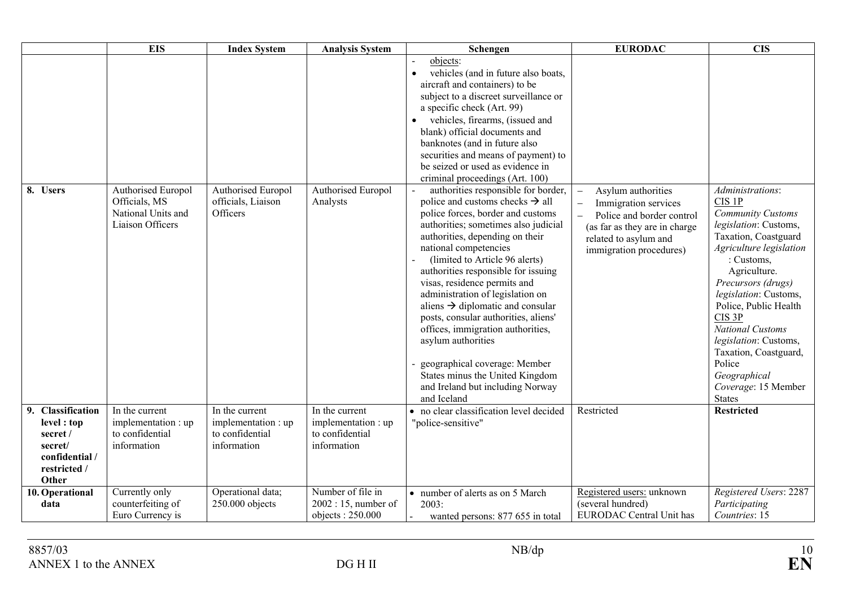|                                                                                                    | <b>EIS</b>                                                                    | <b>Index System</b>                                                     | <b>Analysis System</b>                                                  | Schengen                                                                                                                                                                                                                                                                                                                                                                                                                                                                                                                                                                                                                                                                                                                                                                                                                                                                                                                                                                                                                                       | <b>EURODAC</b>                                                                                                                                                                           | <b>CIS</b>                                                                                                                                                                                                                                                                                                                                                                                                   |
|----------------------------------------------------------------------------------------------------|-------------------------------------------------------------------------------|-------------------------------------------------------------------------|-------------------------------------------------------------------------|------------------------------------------------------------------------------------------------------------------------------------------------------------------------------------------------------------------------------------------------------------------------------------------------------------------------------------------------------------------------------------------------------------------------------------------------------------------------------------------------------------------------------------------------------------------------------------------------------------------------------------------------------------------------------------------------------------------------------------------------------------------------------------------------------------------------------------------------------------------------------------------------------------------------------------------------------------------------------------------------------------------------------------------------|------------------------------------------------------------------------------------------------------------------------------------------------------------------------------------------|--------------------------------------------------------------------------------------------------------------------------------------------------------------------------------------------------------------------------------------------------------------------------------------------------------------------------------------------------------------------------------------------------------------|
| 8. Users                                                                                           | Authorised Europol<br>Officials, MS<br>National Units and<br>Liaison Officers | Authorised Europol<br>officials, Liaison<br>Officers                    | Authorised Europol<br>Analysts                                          | objects:<br>vehicles (and in future also boats,<br>$\bullet$<br>aircraft and containers) to be<br>subject to a discreet surveillance or<br>a specific check (Art. 99)<br>vehicles, firearms, (issued and<br>blank) official documents and<br>banknotes (and in future also<br>securities and means of payment) to<br>be seized or used as evidence in<br>criminal proceedings (Art. 100)<br>authorities responsible for border,<br>police and customs checks $\rightarrow$ all<br>police forces, border and customs<br>authorities; sometimes also judicial<br>authorities, depending on their<br>national competencies<br>(limited to Article 96 alerts)<br>authorities responsible for issuing<br>visas, residence permits and<br>administration of legislation on<br>aliens $\rightarrow$ diplomatic and consular<br>posts, consular authorities, aliens'<br>offices, immigration authorities,<br>asylum authorities<br>geographical coverage: Member<br>States minus the United Kingdom<br>and Ireland but including Norway<br>and Iceland | Asylum authorities<br>Immigration services<br>$\overline{\phantom{0}}$<br>Police and border control<br>(as far as they are in charge<br>related to asylum and<br>immigration procedures) | Administrations:<br>CIS 1P<br><b>Community Customs</b><br>legislation: Customs,<br>Taxation, Coastguard<br>Agriculture legislation<br>: Customs,<br>Agriculture.<br>Precursors (drugs)<br>legislation: Customs,<br>Police, Public Health<br>CIS <sub>3P</sub><br><b>National Customs</b><br>legislation: Customs,<br>Taxation, Coastguard,<br>Police<br>Geographical<br>Coverage: 15 Member<br><b>States</b> |
| 9. Classification<br>level : top<br>secret /<br>secret/<br>confidential /<br>restricted /<br>Other | In the current<br>implementation : up<br>to confidential<br>information       | In the current<br>implementation : up<br>to confidential<br>information | In the current<br>implementation : up<br>to confidential<br>information | • no clear classification level decided<br>"police-sensitive"                                                                                                                                                                                                                                                                                                                                                                                                                                                                                                                                                                                                                                                                                                                                                                                                                                                                                                                                                                                  | Restricted                                                                                                                                                                               | <b>Restricted</b>                                                                                                                                                                                                                                                                                                                                                                                            |
| 10. Operational<br>data                                                                            | Currently only<br>counterfeiting of<br>Euro Currency is                       | Operational data;<br>250.000 objects                                    | Number of file in<br>$2002:15$ , number of<br>objects: 250.000          | • number of alerts as on 5 March<br>2003:<br>wanted persons: 877 655 in total                                                                                                                                                                                                                                                                                                                                                                                                                                                                                                                                                                                                                                                                                                                                                                                                                                                                                                                                                                  | Registered users: unknown<br>(several hundred)<br><b>EURODAC</b> Central Unit has                                                                                                        | Registered Users: 2287<br>Participating<br>Countries: 15                                                                                                                                                                                                                                                                                                                                                     |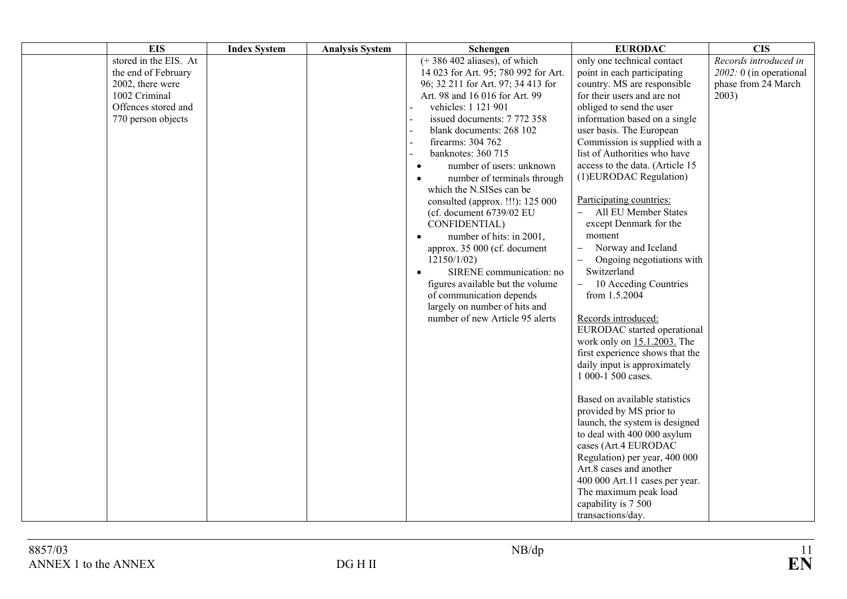| <b>EIS</b>                                                                                                                     | <b>Index System</b> | <b>Analysis System</b> | Schengen                                                                                                                                                                                                                                                                                                                                                                                                                                                                                                                                                                                                                                                                                                                                                       | <b>EURODAC</b>                                                                                                                                                                                                                                                                                                                                                                                                                                                                                                                                                                                                                                                                                                                                                                                                                                                                                                                                                                                                                                                                                                                | <b>CIS</b>                                                                        |
|--------------------------------------------------------------------------------------------------------------------------------|---------------------|------------------------|----------------------------------------------------------------------------------------------------------------------------------------------------------------------------------------------------------------------------------------------------------------------------------------------------------------------------------------------------------------------------------------------------------------------------------------------------------------------------------------------------------------------------------------------------------------------------------------------------------------------------------------------------------------------------------------------------------------------------------------------------------------|-------------------------------------------------------------------------------------------------------------------------------------------------------------------------------------------------------------------------------------------------------------------------------------------------------------------------------------------------------------------------------------------------------------------------------------------------------------------------------------------------------------------------------------------------------------------------------------------------------------------------------------------------------------------------------------------------------------------------------------------------------------------------------------------------------------------------------------------------------------------------------------------------------------------------------------------------------------------------------------------------------------------------------------------------------------------------------------------------------------------------------|-----------------------------------------------------------------------------------|
| stored in the EIS. At<br>the end of February<br>2002, there were<br>1002 Criminal<br>Offences stored and<br>770 person objects |                     |                        | $\overline{(+386\,402)}$ aliases), of which<br>14 023 for Art. 95; 780 992 for Art.<br>96; 32 211 for Art. 97; 34 413 for<br>Art. 98 and 16 016 for Art. 99<br>vehicles: 1 121 901<br>issued documents: 7 772 358<br>blank documents: 268 102<br>firearms: 304 762<br>banknotes: 360 715<br>number of users: unknown<br>$\bullet$<br>number of terminals through<br>$\bullet$<br>which the N.SISes can be<br>consulted (approx. !!!): 125 000<br>(cf. document 6739/02 EU<br>CONFIDENTIAL)<br>number of hits: in 2001,<br>$\bullet$<br>approx. 35 000 (cf. document<br>12150/1/02<br>SIRENE communication: no<br>$\bullet$<br>figures available but the volume<br>of communication depends<br>largely on number of hits and<br>number of new Article 95 alerts | only one technical contact<br>point in each participating<br>country. MS are responsible<br>for their users and are not<br>obliged to send the user<br>information based on a single<br>user basis. The European<br>Commission is supplied with a<br>list of Authorities who have<br>access to the data. (Article 15<br>(1) EURODAC Regulation)<br>Participating countries:<br>All EU Member States<br>except Denmark for the<br>moment<br>Norway and Iceland<br>$\overline{\phantom{0}}$<br>Ongoing negotiations with<br>$\overline{\phantom{0}}$<br>Switzerland<br>10 Acceding Countries<br>$\equiv$<br>from 1.5.2004<br>Records introduced:<br>EURODAC started operational<br>work only on 15.1.2003. The<br>first experience shows that the<br>daily input is approximately<br>1 000-1 500 cases.<br>Based on available statistics<br>provided by MS prior to<br>launch, the system is designed<br>to deal with 400 000 asylum<br>cases (Art.4 EURODAC<br>Regulation) per year, 400 000<br>Art.8 cases and another<br>400 000 Art.11 cases per year.<br>The maximum peak load<br>capability is 7 500<br>transactions/day. | Records introduced in<br>$2002:0$ (in operational<br>phase from 24 March<br>2003) |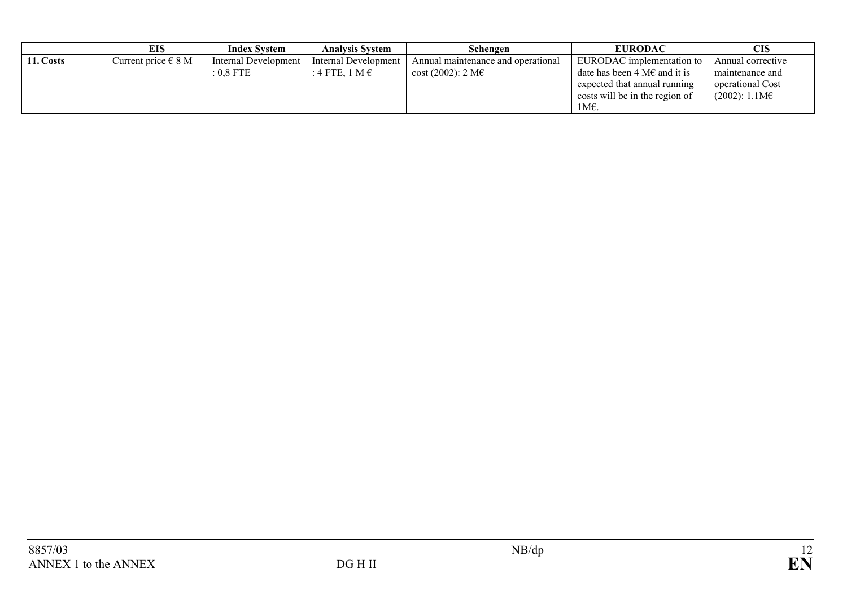|           | EIS                     | <b>Index System</b>  | <b>Analysis System</b>  | Schengen                           | <b>EURODAC</b>                         | CIS                    |
|-----------|-------------------------|----------------------|-------------------------|------------------------------------|----------------------------------------|------------------------|
| 11. Costs | Current price $\in$ 8 M | Internal Development | Internal Development    | Annual maintenance and operational | EURODAC implementation to              | Annual corrective      |
|           |                         | : 0.8 FTE            | : 4 FTE, 1 M $\epsilon$ | $\cosh(2002)$ : 2 M $\epsilon$     | date has been 4 M $\epsilon$ and it is | maintenance and        |
|           |                         |                      |                         |                                    | expected that annual running           | operational Cost       |
|           |                         |                      |                         |                                    | costs will be in the region of         | $(2002): 1.1M\epsilon$ |
|           |                         |                      |                         |                                    | 1М€.                                   |                        |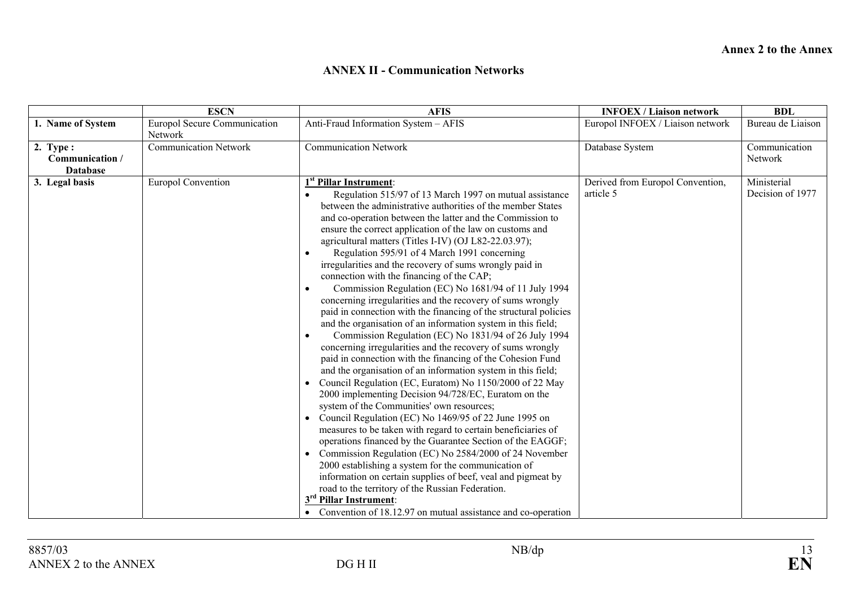#### **ANNEX II - Communication Networks**

|                                                  | <b>ESCN</b>                                    | <b>AFIS</b>                                                                                                                                                                                                                                                                                                                                                                                                                                                                                                                                                                                                                                                                                                                                                                                                                                                                                                                                                                                                                                                                                                                                                                                                                                                                                                                                                                                                                                                                                                                                                                                                                                                                                                                                          | <b>INFOEX / Liaison network</b>               | <b>BDL</b>                      |
|--------------------------------------------------|------------------------------------------------|------------------------------------------------------------------------------------------------------------------------------------------------------------------------------------------------------------------------------------------------------------------------------------------------------------------------------------------------------------------------------------------------------------------------------------------------------------------------------------------------------------------------------------------------------------------------------------------------------------------------------------------------------------------------------------------------------------------------------------------------------------------------------------------------------------------------------------------------------------------------------------------------------------------------------------------------------------------------------------------------------------------------------------------------------------------------------------------------------------------------------------------------------------------------------------------------------------------------------------------------------------------------------------------------------------------------------------------------------------------------------------------------------------------------------------------------------------------------------------------------------------------------------------------------------------------------------------------------------------------------------------------------------------------------------------------------------------------------------------------------------|-----------------------------------------------|---------------------------------|
| 1. Name of System                                | <b>Europol Secure Communication</b><br>Network | Anti-Fraud Information System - AFIS                                                                                                                                                                                                                                                                                                                                                                                                                                                                                                                                                                                                                                                                                                                                                                                                                                                                                                                                                                                                                                                                                                                                                                                                                                                                                                                                                                                                                                                                                                                                                                                                                                                                                                                 | Europol INFOEX / Liaison network              | Bureau de Liaison               |
| $2.$ Type:<br>Communication /<br><b>Database</b> | <b>Communication Network</b>                   | <b>Communication Network</b>                                                                                                                                                                                                                                                                                                                                                                                                                                                                                                                                                                                                                                                                                                                                                                                                                                                                                                                                                                                                                                                                                                                                                                                                                                                                                                                                                                                                                                                                                                                                                                                                                                                                                                                         | Database System                               | Communication<br>Network        |
| 3. Legal basis                                   | <b>Europol Convention</b>                      | 1 <sup>st</sup> Pillar Instrument:<br>Regulation 515/97 of 13 March 1997 on mutual assistance<br>between the administrative authorities of the member States<br>and co-operation between the latter and the Commission to<br>ensure the correct application of the law on customs and<br>agricultural matters (Titles I-IV) (OJ L82-22.03.97);<br>Regulation 595/91 of 4 March 1991 concerning<br>irregularities and the recovery of sums wrongly paid in<br>connection with the financing of the CAP;<br>Commission Regulation (EC) No 1681/94 of 11 July 1994<br>$\bullet$<br>concerning irregularities and the recovery of sums wrongly<br>paid in connection with the financing of the structural policies<br>and the organisation of an information system in this field;<br>Commission Regulation (EC) No 1831/94 of 26 July 1994<br>$\bullet$<br>concerning irregularities and the recovery of sums wrongly<br>paid in connection with the financing of the Cohesion Fund<br>and the organisation of an information system in this field;<br>Council Regulation (EC, Euratom) No 1150/2000 of 22 May<br>2000 implementing Decision 94/728/EC, Euratom on the<br>system of the Communities' own resources;<br>Council Regulation (EC) No 1469/95 of 22 June 1995 on<br>measures to be taken with regard to certain beneficiaries of<br>operations financed by the Guarantee Section of the EAGGF;<br>Commission Regulation (EC) No 2584/2000 of 24 November<br>2000 establishing a system for the communication of<br>information on certain supplies of beef, yeal and pigmeat by<br>road to the territory of the Russian Federation.<br>3 <sup>rd</sup> Pillar Instrument:<br>• Convention of 18.12.97 on mutual assistance and co-operation | Derived from Europol Convention,<br>article 5 | Ministerial<br>Decision of 1977 |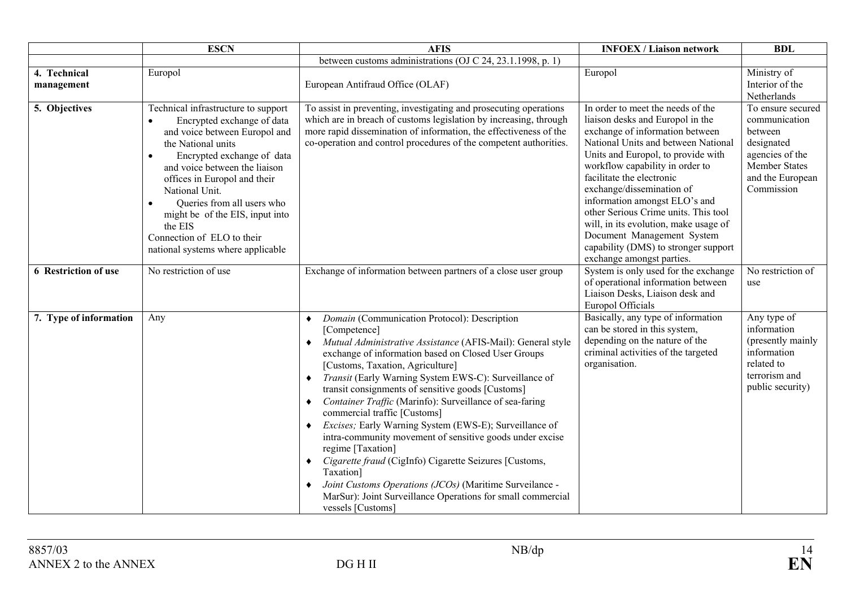|                            | <b>ESCN</b>                                                                                                                                                                                                                                                                                                                                                                                                        | <b>AFIS</b>                                                                                                                                                                                                                                                                                                                                                                                                                                                                                                                                                                                                                                                                                                                                                                                                                                                         | <b>INFOEX / Liaison network</b>                                                                                                                                                                                                                                                                                                                                                                                                                                                                         | <b>BDL</b>                                                                                                                        |
|----------------------------|--------------------------------------------------------------------------------------------------------------------------------------------------------------------------------------------------------------------------------------------------------------------------------------------------------------------------------------------------------------------------------------------------------------------|---------------------------------------------------------------------------------------------------------------------------------------------------------------------------------------------------------------------------------------------------------------------------------------------------------------------------------------------------------------------------------------------------------------------------------------------------------------------------------------------------------------------------------------------------------------------------------------------------------------------------------------------------------------------------------------------------------------------------------------------------------------------------------------------------------------------------------------------------------------------|---------------------------------------------------------------------------------------------------------------------------------------------------------------------------------------------------------------------------------------------------------------------------------------------------------------------------------------------------------------------------------------------------------------------------------------------------------------------------------------------------------|-----------------------------------------------------------------------------------------------------------------------------------|
|                            |                                                                                                                                                                                                                                                                                                                                                                                                                    | between customs administrations (OJ C 24, 23.1.1998, p. 1)                                                                                                                                                                                                                                                                                                                                                                                                                                                                                                                                                                                                                                                                                                                                                                                                          |                                                                                                                                                                                                                                                                                                                                                                                                                                                                                                         |                                                                                                                                   |
| 4. Technical<br>management | Europol                                                                                                                                                                                                                                                                                                                                                                                                            | European Antifraud Office (OLAF)                                                                                                                                                                                                                                                                                                                                                                                                                                                                                                                                                                                                                                                                                                                                                                                                                                    | Europol                                                                                                                                                                                                                                                                                                                                                                                                                                                                                                 | Ministry of<br>Interior of the<br>Netherlands                                                                                     |
| 5. Objectives              | Technical infrastructure to support<br>Encrypted exchange of data<br>$\bullet$<br>and voice between Europol and<br>the National units<br>Encrypted exchange of data<br>$\bullet$<br>and voice between the liaison<br>offices in Europol and their<br>National Unit.<br>Queries from all users who<br>might be of the EIS, input into<br>the EIS<br>Connection of ELO to their<br>national systems where applicable | To assist in preventing, investigating and prosecuting operations<br>which are in breach of customs legislation by increasing, through<br>more rapid dissemination of information, the effectiveness of the<br>co-operation and control procedures of the competent authorities.                                                                                                                                                                                                                                                                                                                                                                                                                                                                                                                                                                                    | In order to meet the needs of the<br>liaison desks and Europol in the<br>exchange of information between<br>National Units and between National<br>Units and Europol, to provide with<br>workflow capability in order to<br>facilitate the electronic<br>exchange/dissemination of<br>information amongst ELO's and<br>other Serious Crime units. This tool<br>will, in its evolution, make usage of<br>Document Management System<br>capability (DMS) to stronger support<br>exchange amongst parties. | To ensure secured<br>communication<br>between<br>designated<br>agencies of the<br>Member States<br>and the European<br>Commission |
| 6 Restriction of use       | $\overline{No}$ restriction of use                                                                                                                                                                                                                                                                                                                                                                                 | Exchange of information between partners of a close user group                                                                                                                                                                                                                                                                                                                                                                                                                                                                                                                                                                                                                                                                                                                                                                                                      | System is only used for the exchange<br>of operational information between<br>Liaison Desks, Liaison desk and<br>Europol Officials                                                                                                                                                                                                                                                                                                                                                                      | No restriction of<br>use                                                                                                          |
| 7. Type of information     | Any                                                                                                                                                                                                                                                                                                                                                                                                                | Domain (Communication Protocol): Description<br>$\bullet$<br>[Competence]<br>Mutual Administrative Assistance (AFIS-Mail): General style<br>$\bullet$<br>exchange of information based on Closed User Groups<br>[Customs, Taxation, Agriculture]<br>Transit (Early Warning System EWS-C): Surveillance of<br>٠<br>transit consignments of sensitive goods [Customs]<br>Container Traffic (Marinfo): Surveillance of sea-faring<br>٠<br>commercial traffic [Customs]<br>Excises; Early Warning System (EWS-E); Surveillance of<br>$\bullet$<br>intra-community movement of sensitive goods under excise<br>regime [Taxation]<br>Cigarette fraud (CigInfo) Cigarette Seizures [Customs,<br>٠<br>Taxation]<br>Joint Customs Operations (JCOs) (Maritime Surveilance -<br>$\bullet$<br>MarSur): Joint Surveillance Operations for small commercial<br>vessels [Customs] | Basically, any type of information<br>can be stored in this system,<br>depending on the nature of the<br>criminal activities of the targeted<br>organisation.                                                                                                                                                                                                                                                                                                                                           | Any type of<br>information<br>(presently mainly<br>information<br>related to<br>terrorism and<br>public security)                 |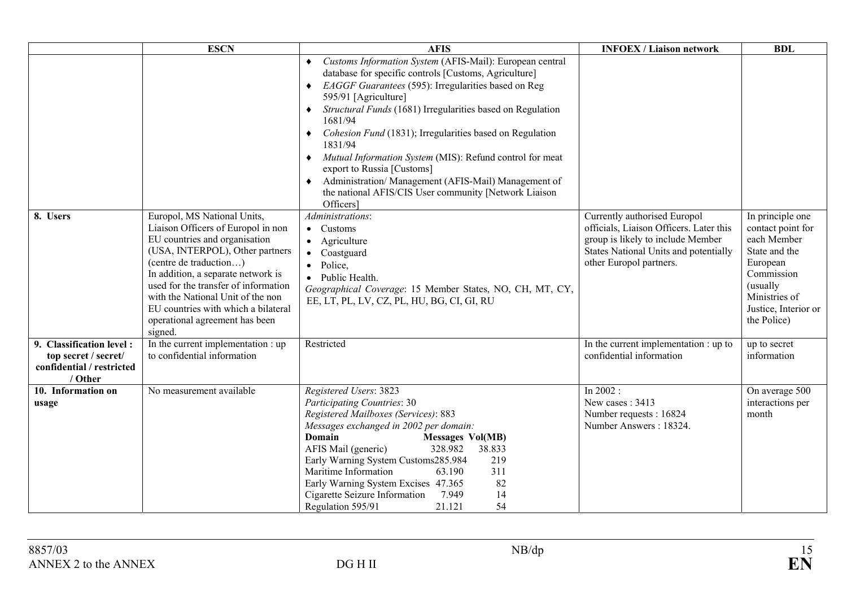|                                                                                          | <b>ESCN</b>                                                                                                                                                                                                                                                                                                                                                            | <b>AFIS</b>                                                                                                                                                                                                                                                                                                                                                                                                                                                                                                                                                                        | <b>INFOEX / Liaison network</b>                                                                                                                                                  | <b>BDL</b>                                                                                                                                                          |
|------------------------------------------------------------------------------------------|------------------------------------------------------------------------------------------------------------------------------------------------------------------------------------------------------------------------------------------------------------------------------------------------------------------------------------------------------------------------|------------------------------------------------------------------------------------------------------------------------------------------------------------------------------------------------------------------------------------------------------------------------------------------------------------------------------------------------------------------------------------------------------------------------------------------------------------------------------------------------------------------------------------------------------------------------------------|----------------------------------------------------------------------------------------------------------------------------------------------------------------------------------|---------------------------------------------------------------------------------------------------------------------------------------------------------------------|
|                                                                                          |                                                                                                                                                                                                                                                                                                                                                                        | Customs Information System (AFIS-Mail): European central<br>database for specific controls [Customs, Agriculture]<br>EAGGF Guarantees (595): Irregularities based on Reg<br>595/91 [Agriculture]<br>Structural Funds (1681) Irregularities based on Regulation<br>1681/94<br>Cohesion Fund (1831); Irregularities based on Regulation<br>1831/94<br>Mutual Information System (MIS): Refund control for meat<br>٠<br>export to Russia [Customs]<br>Administration/ Management (AFIS-Mail) Management of<br>٠<br>the national AFIS/CIS User community [Network Liaison<br>Officers] |                                                                                                                                                                                  |                                                                                                                                                                     |
| 8. Users                                                                                 | Europol, MS National Units,<br>Liaison Officers of Europol in non<br>EU countries and organisation<br>(USA, INTERPOL), Other partners<br>(centre de traduction)<br>In addition, a separate network is<br>used for the transfer of information<br>with the National Unit of the non<br>EU countries with which a bilateral<br>operational agreement has been<br>signed. | Administrations:<br>• Customs<br>• Agriculture<br>Coastguard<br>$\bullet$<br>Police,<br>$\bullet$<br>• Public Health.<br>Geographical Coverage: 15 Member States, NO, CH, MT, CY,<br>EE, LT, PL, LV, CZ, PL, HU, BG, CI, GI, RU                                                                                                                                                                                                                                                                                                                                                    | Currently authorised Europol<br>officials, Liaison Officers. Later this<br>group is likely to include Member<br>States National Units and potentially<br>other Europol partners. | In principle one<br>contact point for<br>each Member<br>State and the<br>European<br>Commission<br>(usually<br>Ministries of<br>Justice, Interior or<br>the Police) |
| 9. Classification level:<br>top secret / secret/<br>confidential / restricted<br>/ Other | In the current implementation : up<br>to confidential information                                                                                                                                                                                                                                                                                                      | Restricted                                                                                                                                                                                                                                                                                                                                                                                                                                                                                                                                                                         | In the current implementation : up to<br>confidential information                                                                                                                | up to secret<br>information                                                                                                                                         |
| 10. Information on<br>usage                                                              | No measurement available                                                                                                                                                                                                                                                                                                                                               | Registered Users: 3823<br><b>Participating Countries: 30</b><br>Registered Mailboxes (Services): 883<br>Messages exchanged in 2002 per domain:<br><b>Domain</b><br><b>Messages Vol(MB)</b><br>AFIS Mail (generic)<br>328.982<br>38.833<br>Early Warning System Customs285.984<br>219<br>Maritime Information<br>63.190<br>311<br>Early Warning System Excises 47.365<br>82<br>Cigarette Seizure Information<br>7.949<br>14<br>54<br>Regulation 595/91<br>21.121                                                                                                                    | In $2002$ :<br>New cases: 3413<br>Number requests: 16824<br>Number Answers: 18324.                                                                                               | On average 500<br>interactions per<br>month                                                                                                                         |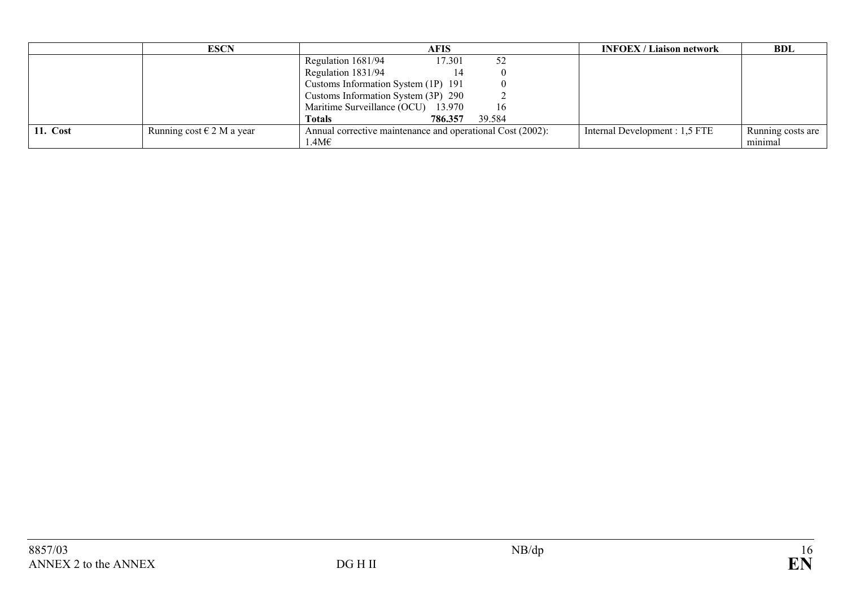|                 | <b>ESCN</b>                   | AFIS                                                       |        | <b>INFOEX</b> / Liaison network | <b>BDL</b>        |
|-----------------|-------------------------------|------------------------------------------------------------|--------|---------------------------------|-------------------|
|                 |                               | Regulation 1681/94<br>17.301                               | 52     |                                 |                   |
|                 |                               | Regulation 1831/94<br>14                                   |        |                                 |                   |
|                 |                               | Customs Information System (1P) 191                        |        |                                 |                   |
|                 |                               | Customs Information System (3P) 290                        |        |                                 |                   |
|                 |                               | Maritime Surveillance (OCU) 13.970                         | 16     |                                 |                   |
|                 |                               | 786.357<br><b>Totals</b>                                   | 39.584 |                                 |                   |
| <b>11. Cost</b> | Running cost $\in$ 2 M a year | Annual corrective maintenance and operational Cost (2002): |        | Internal Development : 1,5 FTE  | Running costs are |
|                 |                               | $1.4M\epsilon$                                             |        |                                 | minimal           |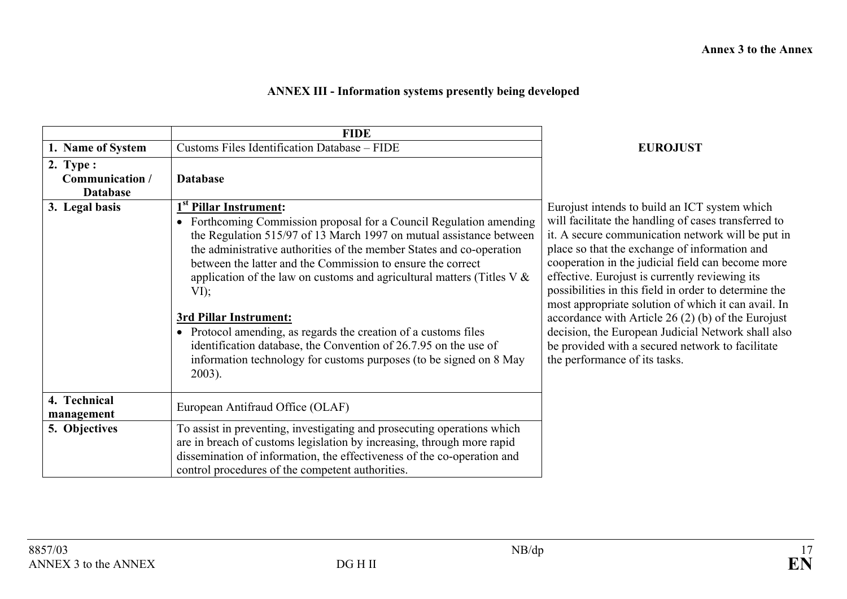# **ANNEX III - Information systems presently being developed**

|                                                                   | <b>FIDE</b>                                                                                                                                                                                                                                                                                                                                                                                                                                                                                                                  |                                                                                                                                                                                                                                                                                                                                                                                                                                                                                                                                                  |
|-------------------------------------------------------------------|------------------------------------------------------------------------------------------------------------------------------------------------------------------------------------------------------------------------------------------------------------------------------------------------------------------------------------------------------------------------------------------------------------------------------------------------------------------------------------------------------------------------------|--------------------------------------------------------------------------------------------------------------------------------------------------------------------------------------------------------------------------------------------------------------------------------------------------------------------------------------------------------------------------------------------------------------------------------------------------------------------------------------------------------------------------------------------------|
| 1. Name of System                                                 | Customs Files Identification Database - FIDE                                                                                                                                                                                                                                                                                                                                                                                                                                                                                 | <b>EUROJUST</b>                                                                                                                                                                                                                                                                                                                                                                                                                                                                                                                                  |
| 2. Type :<br>Communication /<br><b>Database</b><br>3. Legal basis | <b>Database</b><br>1 <sup>st</sup> Pillar Instrument:<br>• Forthcoming Commission proposal for a Council Regulation amending<br>the Regulation 515/97 of 13 March 1997 on mutual assistance between<br>the administrative authorities of the member States and co-operation<br>between the latter and the Commission to ensure the correct<br>application of the law on customs and agricultural matters (Titles $V \&$<br>VI);<br>3rd Pillar Instrument:<br>• Protocol amending, as regards the creation of a customs files | Eurojust intends to build an ICT system which<br>will facilitate the handling of cases transferred to<br>it. A secure communication network will be put in<br>place so that the exchange of information and<br>cooperation in the judicial field can become more<br>effective. Eurojust is currently reviewing its<br>possibilities in this field in order to determine the<br>most appropriate solution of which it can avail. In<br>accordance with Article 26 $(2)$ (b) of the Eurojust<br>decision, the European Judicial Network shall also |
|                                                                   | identification database, the Convention of 26.7.95 on the use of<br>information technology for customs purposes (to be signed on 8 May<br>$2003$ ).                                                                                                                                                                                                                                                                                                                                                                          | be provided with a secured network to facilitate<br>the performance of its tasks.                                                                                                                                                                                                                                                                                                                                                                                                                                                                |
| 4. Technical<br>management                                        | European Antifraud Office (OLAF)                                                                                                                                                                                                                                                                                                                                                                                                                                                                                             |                                                                                                                                                                                                                                                                                                                                                                                                                                                                                                                                                  |
| 5. Objectives                                                     | To assist in preventing, investigating and prosecuting operations which<br>are in breach of customs legislation by increasing, through more rapid<br>dissemination of information, the effectiveness of the co-operation and<br>control procedures of the competent authorities.                                                                                                                                                                                                                                             |                                                                                                                                                                                                                                                                                                                                                                                                                                                                                                                                                  |